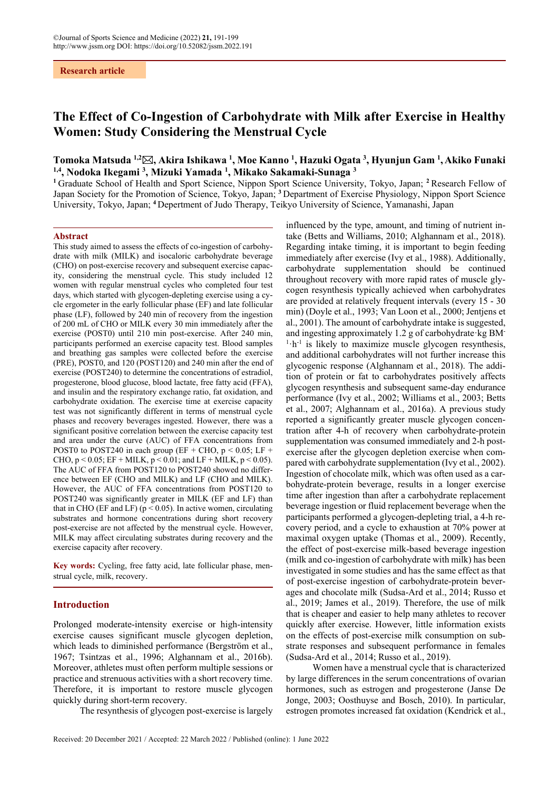# **Research article**

# **The Effect of Co-Ingestion of Carbohydrate with Milk after Exercise in Healthy Women: Study Considering the Menstrual Cycle**

# **Tomoka Matsuda 1,2, Akira Ishikawa 1 , Moe Kanno 1 , Hazuki Ogata 3 , Hyunjun Gam 1 , Akiko Funaki**  <sup>1,4</sup>, Nodoka Ikegami <sup>3</sup>, Mizuki Yamada <sup>1</sup>, Mikako Sakamaki-Sunaga <sup>3</sup>

**<sup>1</sup>**Graduate School of Health and Sport Science, Nippon Sport Science University, Tokyo, Japan; **<sup>2</sup>** Research Fellow of Japan Society for the Promotion of Science, Tokyo, Japan; **<sup>3</sup>** Department of Exercise Physiology, Nippon Sport Science University, Tokyo, Japan; **<sup>4</sup>** Depertment of Judo Therapy, Teikyo University of Science, Yamanashi, Japan

#### **Abstract**

This study aimed to assess the effects of co-ingestion of carbohydrate with milk (MILK) and isocaloric carbohydrate beverage (CHO) on post-exercise recovery and subsequent exercise capacity, considering the menstrual cycle. This study included 12 women with regular menstrual cycles who completed four test days, which started with glycogen-depleting exercise using a cycle ergometer in the early follicular phase (EF) and late follicular phase (LF), followed by 240 min of recovery from the ingestion of 200 mL of CHO or MILK every 30 min immediately after the exercise (POST0) until 210 min post-exercise. After 240 min, participants performed an exercise capacity test. Blood samples and breathing gas samples were collected before the exercise (PRE), POST0, and 120 (POST120) and 240 min after the end of exercise (POST240) to determine the concentrations of estradiol, progesterone, blood glucose, blood lactate, free fatty acid (FFA), and insulin and the respiratory exchange ratio, fat oxidation, and carbohydrate oxidation. The exercise time at exercise capacity test was not significantly different in terms of menstrual cycle phases and recovery beverages ingested. However, there was a significant positive correlation between the exercise capacity test and area under the curve (AUC) of FFA concentrations from POST0 to POST240 in each group (EF + CHO,  $p < 0.05$ ; LF + CHO,  $p < 0.05$ ; EF + MILK,  $p < 0.01$ ; and LF + MILK,  $p < 0.05$ ). The AUC of FFA from POST120 to POST240 showed no difference between EF (CHO and MILK) and LF (CHO and MILK). However, the AUC of FFA concentrations from POST120 to POST240 was significantly greater in MILK (EF and LF) than that in CHO (EF and LF) ( $p < 0.05$ ). In active women, circulating substrates and hormone concentrations during short recovery post-exercise are not affected by the menstrual cycle. However, MILK may affect circulating substrates during recovery and the exercise capacity after recovery.

**Key words:** Cycling, free fatty acid, late follicular phase, menstrual cycle, milk, recovery.

## **Introduction**

Prolonged moderate-intensity exercise or high-intensity exercise causes significant muscle glycogen depletion, which leads to diminished performance (Bergström et al., 1967; Tsintzas et al., 1996; Alghannam et al., 2016b). Moreover, athletes must often perform multiple sessions or practice and strenuous activities with a short recovery time. Therefore, it is important to restore muscle glycogen quickly during short-term recovery.

The resynthesis of glycogen post-exercise is largely

influenced by the type, amount, and timing of nutrient intake (Betts and Williams, 2010; Alghannam et al., 2018). Regarding intake timing, it is important to begin feeding immediately after exercise (Ivy et al., 1988). Additionally, carbohydrate supplementation should be continued throughout recovery with more rapid rates of muscle glycogen resynthesis typically achieved when carbohydrates are provided at relatively frequent intervals (every 15 - 30 min) (Doyle et al., 1993; Van Loon et al., 2000; Jentjens et al., 2001). The amount of carbohydrate intake is suggested, and ingesting approximately 1.2 g of carbohydrate kg BM-<sup>1</sup>·h<sup>-1</sup> is likely to maximize muscle glycogen resynthesis, and additional carbohydrates will not further increase this glycogenic response (Alghannam et al., 2018). The addition of protein or fat to carbohydrates positively affects glycogen resynthesis and subsequent same-day endurance performance (Ivy et al., 2002; Williams et al., 2003; Betts et al., 2007; Alghannam et al., 2016a). A previous study reported a significantly greater muscle glycogen concentration after 4-h of recovery when carbohydrate-protein supplementation was consumed immediately and 2-h postexercise after the glycogen depletion exercise when compared with carbohydrate supplementation (Ivy et al., 2002). Ingestion of chocolate milk, which was often used as a carbohydrate-protein beverage, results in a longer exercise time after ingestion than after a carbohydrate replacement beverage ingestion or fluid replacement beverage when the participants performed a glycogen-depleting trial, a 4-h recovery period, and a cycle to exhaustion at 70% power at maximal oxygen uptake (Thomas et al., 2009). Recently, the effect of post-exercise milk-based beverage ingestion (milk and co-ingestion of carbohydrate with milk) has been investigated in some studies and has the same effect as that of post-exercise ingestion of carbohydrate-protein beverages and chocolate milk (Sudsa-Ard et al., 2014; Russo et al., 2019; James et al., 2019). Therefore, the use of milk that is cheaper and easier to help many athletes to recover quickly after exercise. However, little information exists on the effects of post-exercise milk consumption on substrate responses and subsequent performance in females (Sudsa-Ard et al., 2014; Russo et al., 2019).

Women have a menstrual cycle that is characterized by large differences in the serum concentrations of ovarian hormones, such as estrogen and progesterone (Janse De Jonge, 2003; Oosthuyse and Bosch, 2010). In particular, estrogen promotes increased fat oxidation (Kendrick et al.,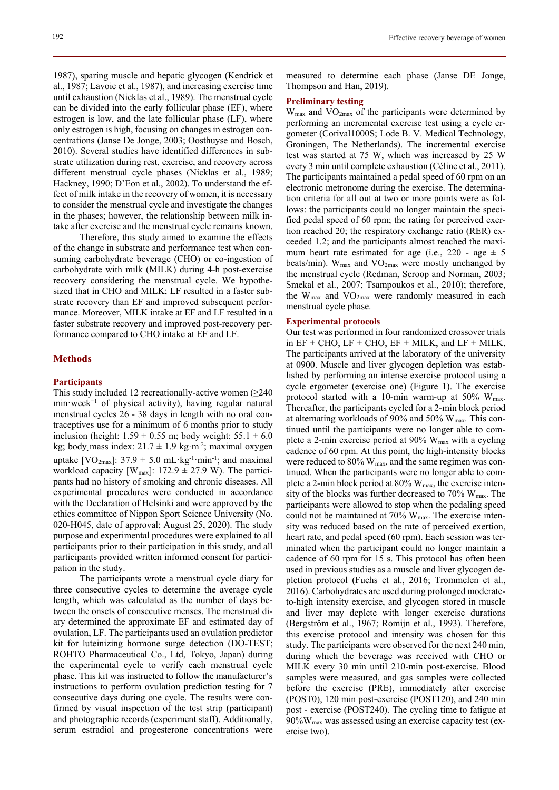1987), sparing muscle and hepatic glycogen (Kendrick et al., 1987; Lavoie et al., 1987), and increasing exercise time until exhaustion (Nicklas et al., 1989). The menstrual cycle can be divided into the early follicular phase (EF), where estrogen is low, and the late follicular phase (LF), where only estrogen is high, focusing on changes in estrogen concentrations (Janse De Jonge, 2003; Oosthuyse and Bosch, 2010). Several studies have identified differences in substrate utilization during rest, exercise, and recovery across different menstrual cycle phases (Nicklas et al., 1989; Hackney, 1990; D'Eon et al., 2002). To understand the effect of milk intake in the recovery of women, it is necessary to consider the menstrual cycle and investigate the changes in the phases; however, the relationship between milk intake after exercise and the menstrual cycle remains known.

Therefore, this study aimed to examine the effects of the change in substrate and performance test when consuming carbohydrate beverage (CHO) or co-ingestion of carbohydrate with milk (MILK) during 4-h post-exercise recovery considering the menstrual cycle. We hypothesized that in CHO and MILK; LF resulted in a faster substrate recovery than EF and improved subsequent performance. Moreover, MILK intake at EF and LF resulted in a faster substrate recovery and improved post-recovery performance compared to CHO intake at EF and LF.

## **Methods**

## **Participants**

This study included 12 recreationally-active women  $(≥240$ min⋅week<sup>-1</sup> of physical activity), having regular natural menstrual cycles 26 - 38 days in length with no oral contraceptives use for a minimum of 6 months prior to study inclusion (height:  $1.59 \pm 0.55$  m; body weight:  $55.1 \pm 6.0$ kg; body mass index:  $21.7 \pm 1.9$  kg·m<sup>-2</sup>; maximal oxygen uptake [ $VO<sub>2max</sub>$ ]: 37.9  $\pm$  5.0 mL·kg<sup>-1</sup>·min<sup>-1</sup>; and maximal workload capacity [ $W_{\text{max}}$ ]: 172.9  $\pm$  27.9 W). The participants had no history of smoking and chronic diseases. All experimental procedures were conducted in accordance with the Declaration of Helsinki and were approved by the ethics committee of Nippon Sport Science University (No. 020-H045, date of approval; August 25, 2020). The study purpose and experimental procedures were explained to all participants prior to their participation in this study, and all participants provided written informed consent for participation in the study.

The participants wrote a menstrual cycle diary for three consecutive cycles to determine the average cycle length, which was calculated as the number of days between the onsets of consecutive menses. The menstrual diary determined the approximate EF and estimated day of ovulation, LF. The participants used an ovulation predictor kit for luteinizing hormone surge detection (DO-TEST; ROHTO Pharmaceutical Co., Ltd, Tokyo, Japan) during the experimental cycle to verify each menstrual cycle phase. This kit was instructed to follow the manufacturer's instructions to perform ovulation prediction testing for 7 consecutive days during one cycle. The results were confirmed by visual inspection of the test strip (participant) and photographic records (experiment staff). Additionally, serum estradiol and progesterone concentrations were

measured to determine each phase (Janse DE Jonge, Thompson and Han, 2019).

## **Preliminary testing**

Wmax and VO2max of the participants were determined by performing an incremental exercise test using a cycle ergometer (Corival1000S; Lode B. V. Medical Technology, Groningen, The Netherlands). The incremental exercise test was started at 75 W, which was increased by 25 W every 3 min until complete exhaustion (Céline et al., 2011). The participants maintained a pedal speed of 60 rpm on an electronic metronome during the exercise. The determination criteria for all out at two or more points were as follows: the participants could no longer maintain the specified pedal speed of 60 rpm; the rating for perceived exertion reached 20; the respiratory exchange ratio (RER) exceeded 1.2; and the participants almost reached the maximum heart rate estimated for age (i.e., 220 - age  $\pm$  5 beats/min).  $W_{\text{max}}$  and  $VO_{\text{2max}}$  were mostly unchanged by the menstrual cycle (Redman, Scroop and Norman, 2003; Smekal et al., 2007; Tsampoukos et al., 2010); therefore, the  $W_{\text{max}}$  and  $VO_{\text{2max}}$  were randomly measured in each menstrual cycle phase.

### **Experimental protocols**

Our test was performed in four randomized crossover trials in  $EF + CHO$ ,  $LF + CHO$ ,  $EF + MILK$ , and  $LF + MILK$ . The participants arrived at the laboratory of the university at 0900. Muscle and liver glycogen depletion was established by performing an intense exercise protocol using a cycle ergometer (exercise one) (Figure 1). The exercise protocol started with a 10-min warm-up at 50%  $W_{\text{max}}$ . Thereafter, the participants cycled for a 2-min block period at alternating workloads of 90% and 50% Wmax. This continued until the participants were no longer able to complete a 2-min exercise period at  $90\%$  W<sub>max</sub> with a cycling cadence of 60 rpm. At this point, the high-intensity blocks were reduced to 80% W<sub>max</sub>, and the same regimen was continued. When the participants were no longer able to complete a 2-min block period at  $80\%$  W<sub>max</sub>, the exercise intensity of the blocks was further decreased to  $70\%$  W<sub>max</sub>. The participants were allowed to stop when the pedaling speed could not be maintained at 70% Wmax. The exercise intensity was reduced based on the rate of perceived exertion, heart rate, and pedal speed (60 rpm). Each session was terminated when the participant could no longer maintain a cadence of 60 rpm for 15 s. This protocol has often been used in previous studies as a muscle and liver glycogen depletion protocol (Fuchs et al., 2016; Trommelen et al., 2016). Carbohydrates are used during prolonged moderateto-high intensity exercise, and glycogen stored in muscle and liver may deplete with longer exercise durations (Bergström et al., 1967; Romijn et al., 1993). Therefore, this exercise protocol and intensity was chosen for this study. The participants were observed for the next 240 min, during which the beverage was received with CHO or MILK every 30 min until 210-min post-exercise. Blood samples were measured, and gas samples were collected before the exercise (PRE), immediately after exercise (POST0), 120 min post-exercise (POST120), and 240 min post - exercise (POST240). The cycling time to fatigue at 90%Wmax was assessed using an exercise capacity test (exercise two).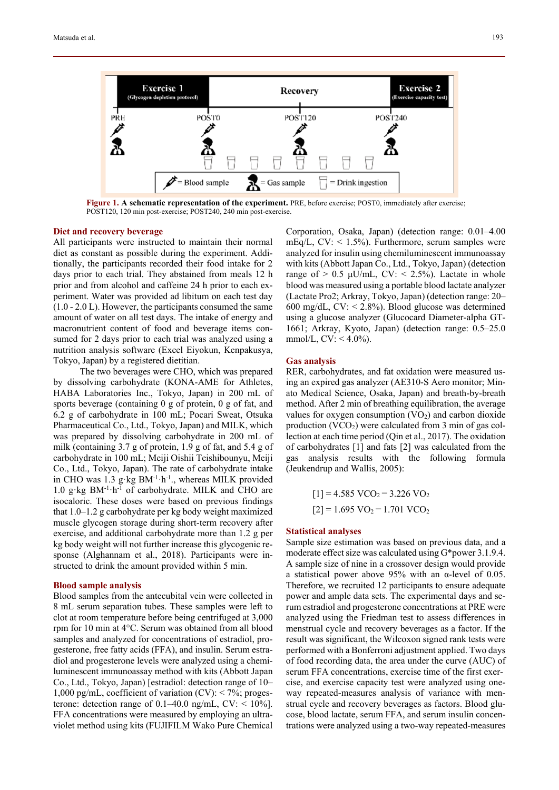

**Figure 1. A schematic representation of the experiment.** PRE, before exercise; POST0, immediately after exercise; POST120, 120 min post-exercise; POST240, 240 min post-exercise.

# **Diet and recovery beverage**

All participants were instructed to maintain their normal diet as constant as possible during the experiment. Additionally, the participants recorded their food intake for 2 days prior to each trial. They abstained from meals 12 h prior and from alcohol and caffeine 24 h prior to each experiment. Water was provided ad libitum on each test day (1.0 - 2.0 L). However, the participants consumed the same amount of water on all test days. The intake of energy and macronutrient content of food and beverage items consumed for 2 days prior to each trial was analyzed using a nutrition analysis software (Excel Eiyokun, Kenpakusya, Tokyo, Japan) by a registered dietitian.

The two beverages were CHO, which was prepared by dissolving carbohydrate (KONA-AME for Athletes, HABA Laboratories Inc., Tokyo, Japan) in 200 mL of sports beverage (containing 0 g of protein, 0 g of fat, and 6.2 g of carbohydrate in 100 mL; Pocari Sweat, Otsuka Pharmaceutical Co., Ltd., Tokyo, Japan) and MILK, which was prepared by dissolving carbohydrate in 200 mL of milk (containing 3.7 g of protein, 1.9 g of fat, and 5.4 g of carbohydrate in 100 mL; Meiji Oishii Teishibounyu, Meiji Co., Ltd., Tokyo, Japan). The rate of carbohydrate intake in CHO was 1.3 g⋅kg BM<sup>-1</sup>⋅h<sup>-1</sup>., whereas MILK provided 1.0 g⋅kg BM<sup>-1</sup>⋅h<sup>-1</sup> of carbohydrate. MILK and CHO are isocaloric. These doses were based on previous findings that 1.0–1.2 g carbohydrate per kg body weight maximized muscle glycogen storage during short-term recovery after exercise, and additional carbohydrate more than 1.2 g per kg body weight will not further increase this glycogenic response (Alghannam et al., 2018). Participants were instructed to drink the amount provided within 5 min.

## **Blood sample analysis**

Blood samples from the antecubital vein were collected in 8 mL serum separation tubes. These samples were left to clot at room temperature before being centrifuged at 3,000 rpm for 10 min at 4°C. Serum was obtained from all blood samples and analyzed for concentrations of estradiol, progesterone, free fatty acids (FFA), and insulin. Serum estradiol and progesterone levels were analyzed using a chemiluminescent immunoassay method with kits (Abbott Japan Co., Ltd., Tokyo, Japan) [estradiol: detection range of 10– 1,000 pg/mL, coefficient of variation  $(CV)$ : < 7%; progesterone: detection range of  $0.1-40.0$  ng/mL, CV: <  $10\%$ ]. FFA concentrations were measured by employing an ultraviolet method using kits (FUJIFILM Wako Pure Chemical Corporation, Osaka, Japan) (detection range: 0.01–4.00 mEq/L,  $CV: < 1.5\%$ ). Furthermore, serum samples were analyzed for insulin using chemiluminescent immunoassay with kits (Abbott Japan Co., Ltd., Tokyo, Japan) (detection range of  $> 0.5 \mu U/mL$ , CV:  $< 2.5\%$ ). Lactate in whole blood was measured using a portable blood lactate analyzer (Lactate Pro2; Arkray, Tokyo, Japan) (detection range: 20– 600 mg/dL,  $CV: < 2.8\%$ ). Blood glucose was determined using a glucose analyzer (Glucocard Diameter-alpha GT-1661; Arkray, Kyoto, Japan) (detection range: 0.5–25.0 mmol/L,  $CV: < 4.0\%$ ).

## **Gas analysis**

RER, carbohydrates, and fat oxidation were measured using an expired gas analyzer (AE310-S Aero monitor; Minato Medical Science, Osaka, Japan) and breath-by-breath method. After 2 min of breathing equilibration, the average values for oxygen consumption  $(VO<sub>2</sub>)$  and carbon dioxide production  $(VCO<sub>2</sub>)$  were calculated from 3 min of gas collection at each time period (Qin et al., 2017). The oxidation of carbohydrates [1] and fats [2] was calculated from the gas analysis results with the following formula (Jeukendrup and Wallis, 2005):

> $[1] = 4.585$  VCO<sub>2</sub> – 3.226 VO<sub>2</sub>  $[2] = 1.695 \text{ VO}_2 - 1.701 \text{ VCO}_2$

## **Statistical analyses**

Sample size estimation was based on previous data, and a moderate effect size was calculated using G\*power 3.1.9.4. A sample size of nine in a crossover design would provide a statistical power above 95% with an α-level of 0.05. Therefore, we recruited 12 participants to ensure adequate power and ample data sets. The experimental days and serum estradiol and progesterone concentrations at PRE were analyzed using the Friedman test to assess differences in menstrual cycle and recovery beverages as a factor. If the result was significant, the Wilcoxon signed rank tests were performed with a Bonferroni adjustment applied. Two days of food recording data, the area under the curve (AUC) of serum FFA concentrations, exercise time of the first exercise, and exercise capacity test were analyzed using oneway repeated-measures analysis of variance with menstrual cycle and recovery beverages as factors. Blood glucose, blood lactate, serum FFA, and serum insulin concentrations were analyzed using a two-way repeated-measures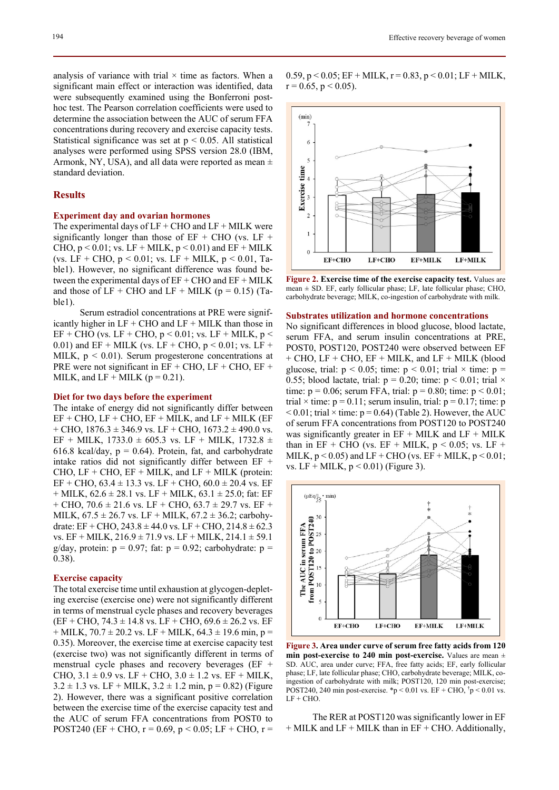analysis of variance with trial  $\times$  time as factors. When a significant main effect or interaction was identified, data were subsequently examined using the Bonferroni posthoc test. The Pearson correlation coefficients were used to determine the association between the AUC of serum FFA concentrations during recovery and exercise capacity tests. Statistical significance was set at  $p < 0.05$ . All statistical analyses were performed using SPSS version 28.0 (IBM, Armonk, NY, USA), and all data were reported as mean  $\pm$ standard deviation.

# **Results**

# **Experiment day and ovarian hormones**

The experimental days of  $LF + CHO$  and  $LF + MILK$  were significantly longer than those of  $EF + CHO$  (vs.  $LF +$ CHO,  $p < 0.01$ ; vs. LF + MILK,  $p < 0.01$ ) and EF + MILK (vs. LF + CHO,  $p < 0.01$ ; vs. LF + MILK,  $p < 0.01$ , Table1). However, no significant difference was found between the experimental days of  $EF + CHO$  and  $EF + MILK$ and those of  $LF + CHO$  and  $LF + MILK$  ( $p = 0.15$ ) (Table1).

Serum estradiol concentrations at PRE were significantly higher in  $LF + CHO$  and  $LF + MILK$  than those in  $EF + CHO$  (vs. LF + CHO, p < 0.01; vs. LF + MILK, p < 0.01) and EF + MILK (vs. LF + CHO,  $p < 0.01$ ; vs. LF + MILK,  $p < 0.01$ ). Serum progesterone concentrations at PRE were not significant in EF + CHO, LF + CHO, EF + MILK, and LF + MILK ( $p = 0.21$ ).

## **Diet for two days before the experiment**

The intake of energy did not significantly differ between  $EF + CHO$ ,  $LF + CHO$ ,  $EF + MILK$ , and  $LF + MILK$  ( $EF$  $+$  CHO, 1876.3  $\pm$  346.9 vs. LF + CHO, 1673.2  $\pm$  490.0 vs. EF + MILK, 1733.0  $\pm$  605.3 vs. LF + MILK, 1732.8  $\pm$ 616.8 kcal/day,  $p = 0.64$ ). Protein, fat, and carbohydrate intake ratios did not significantly differ between EF + CHO,  $LF + CHO$ ,  $EF + MILK$ , and  $LF + MILK$  (protein: EF + CHO,  $63.4 \pm 13.3$  vs. LF + CHO,  $60.0 \pm 20.4$  vs. EF  $+$  MILK, 62.6  $\pm$  28.1 vs. LF  $+$  MILK, 63.1  $\pm$  25.0; fat: EF  $+$  CHO, 70.6  $\pm$  21.6 vs. LF + CHO, 63.7  $\pm$  29.7 vs. EF + MILK,  $67.5 \pm 26.7$  vs. LF + MILK,  $67.2 \pm 36.2$ ; carbohydrate: EF + CHO,  $243.8 \pm 44.0$  vs. LF + CHO,  $214.8 \pm 62.3$ vs. EF + MILK, 216.9 ± 71.9 vs. LF + MILK, 214.1 ± 59.1 g/day, protein:  $p = 0.97$ ; fat:  $p = 0.92$ ; carbohydrate:  $p =$ 0.38).

#### **Exercise capacity**

The total exercise time until exhaustion at glycogen-depleting exercise (exercise one) were not significantly different in terms of menstrual cycle phases and recovery beverages  $(EF + CHO, 74.3 \pm 14.8 \text{ vs. } LF + CHO, 69.6 \pm 26.2 \text{ vs. } EF$  $+$  MILK, 70.7  $\pm$  20.2 vs. LF + MILK, 64.3  $\pm$  19.6 min, p = 0.35). Moreover, the exercise time at exercise capacity test (exercise two) was not significantly different in terms of menstrual cycle phases and recovery beverages (EF + CHO,  $3.1 \pm 0.9$  vs. LF + CHO,  $3.0 \pm 1.2$  vs. EF + MILK,  $3.2 \pm 1.3$  vs. LF + MILK,  $3.2 \pm 1.2$  min, p = 0.82) (Figure 2). However, there was a significant positive correlation between the exercise time of the exercise capacity test and the AUC of serum FFA concentrations from POST0 to POST240 (EF + CHO,  $r = 0.69$ ,  $p < 0.05$ ; LF + CHO,  $r =$ 

0.59,  $p < 0.05$ ; EF + MILK,  $r = 0.83$ ,  $p < 0.01$ ; LF + MILK,  $r = 0.65$ ,  $p < 0.05$ ).



**Figure 2. Exercise time of the exercise capacity test.** Values are mean ± SD. EF, early follicular phase; LF, late follicular phase; CHO, carbohydrate beverage; MILK, co-ingestion of carbohydrate with milk.

## **Substrates utilization and hormone concentrations**

No significant differences in blood glucose, blood lactate, serum FFA, and serum insulin concentrations at PRE, POST0, POST120, POST240 were observed between EF + CHO, LF + CHO, EF + MILK, and LF + MILK (blood glucose, trial:  $p < 0.05$ ; time:  $p < 0.01$ ; trial  $\times$  time:  $p =$ 0.55; blood lactate, trial:  $p = 0.20$ ; time:  $p \le 0.01$ ; trial  $\times$ time:  $p = 0.06$ ; serum FFA, trial:  $p = 0.80$ ; time:  $p < 0.01$ ; trial  $\times$  time:  $p = 0.11$ ; serum insulin, trial:  $p = 0.17$ ; time: p  $< 0.01$ ; trial  $\times$  time: p = 0.64) (Table 2). However, the AUC of serum FFA concentrations from POST120 to POST240 was significantly greater in  $EF + MILK$  and  $LF + MILK$ than in  $EF + CHO$  (vs.  $EF + MILK$ ,  $p < 0.05$ ; vs.  $LF +$ MILK,  $p < 0.05$ ) and LF + CHO (vs. EF + MILK,  $p < 0.01$ ; vs. LF + MILK,  $p < 0.01$ ) (Figure 3).



**Figure 3. Area under curve of serum free fatty acids from 120 min post-exercise to 240 min post-exercise.** Values are mean ± SD. AUC, area under curve; FFA, free fatty acids; EF, early follicular phase; LF, late follicular phase; CHO, carbohydrate beverage; MILK, coingestion of carbohydrate with milk; POST120, 120 min post-exercise; POST240, 240 min post-exercise. \*p < 0.01 vs. EF + CHO,  $\uparrow$ p < 0.01 vs.  $LF + CHO.$ 

The RER at POST120 was significantly lower in EF  $+$  MILK and LF  $+$  MILK than in EF  $+$  CHO. Additionally,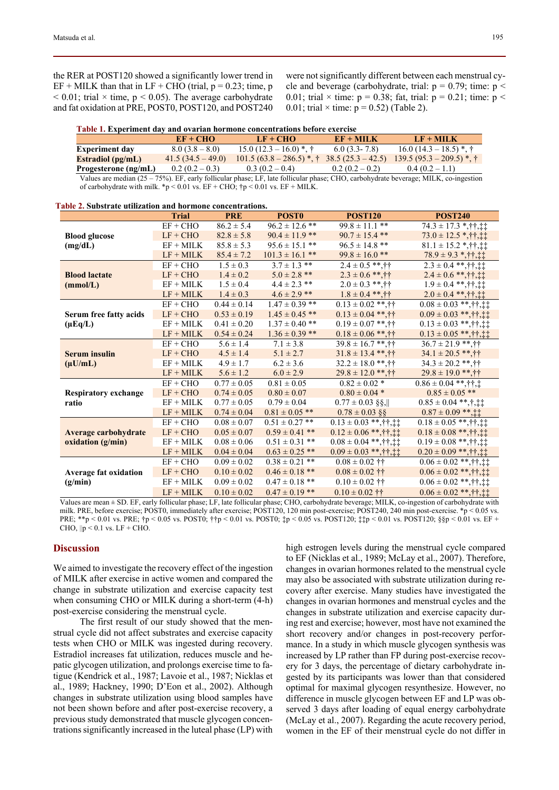the RER at POST120 showed a significantly lower trend in  $EF + MILK$  than that in  $LF + CHO$  (trial,  $p = 0.23$ ; time, p  $< 0.01$ ; trial  $\times$  time, p  $< 0.05$ ). The average carbohydrate and fat oxidation at PRE, POST0, POST120, and POST240 were not significantly different between each menstrual cycle and beverage (carbohydrate, trial:  $p = 0.79$ ; time:  $p <$ 0.01; trial  $\times$  time: p = 0.38; fat, trial: p = 0.21; time: p < 0.01; trial  $\times$  time:  $p = 0.52$ ) (Table 2).

| Table 1. Experiment day and ovarian hormone concentrations before exercise |                   |                          |                     |                                                                                                                                        |  |  |  |  |
|----------------------------------------------------------------------------|-------------------|--------------------------|---------------------|----------------------------------------------------------------------------------------------------------------------------------------|--|--|--|--|
|                                                                            | $EF + CHO$        | $LF + CHO$               | $EF + MILK$         | $LF + MILK$                                                                                                                            |  |  |  |  |
| <b>Experiment day</b>                                                      | $8.0(3.8-8.0)$    | $15.0(12.3-16.0)$ *, †   | $6.0(3.3-7.8)$      | $16.0(14.3 - 18.5)$ *, †                                                                                                               |  |  |  |  |
| <b>Estradiol</b> (pg/mL)                                                   | $41.5(34.5-49.0)$ | $101.5(63.8-286.5)$ *, † | $38.5(25.3 - 42.5)$ | $139.5(95.3-209.5)$ *, †                                                                                                               |  |  |  |  |
| Progesterone (ng/mL)                                                       | $0.2(0.2-0.3)$    | $0.3(0.2-0.4)$           | $0.2(0.2-0.2)$      | $0.4(0.2-1.1)$                                                                                                                         |  |  |  |  |
|                                                                            |                   |                          |                     | Values are median $(25 - 75%)$ . EF, early follicular phase; LF, late follicular phase; CHO, carbohydrate beverage; MILK, co-ingestion |  |  |  |  |

 **Table 2. Substrate utilization and hormone concentrations.** 

of carbohydrate with milk. \*p < 0.01 vs. EF + CHO;  $\uparrow p$  < 0.01 vs. EF + MILK.

|                                           | <b>Trial</b> | <b>PRE</b>      | <b>POST0</b>                | <b>POST120</b>               | <b>POST240</b>                          |
|-------------------------------------------|--------------|-----------------|-----------------------------|------------------------------|-----------------------------------------|
| <b>Blood glucose</b><br>(mg/dL)           | $EF + CHO$   | $86.2 \pm 5.4$  | $96.2 \pm 12.6$ **          | $99.8 \pm 11.1$ **           | $74.3 \pm 17.3$ *, † †, ‡ ‡             |
|                                           | $LF + CHO$   | $82.8 \pm 5.8$  | $90.4 \pm 11.9$ **          | $90.7 \pm 15.4$ **           | $73.0 \pm 12.5$ *, † †, ‡ ‡             |
|                                           | $EF + MILK$  | $85.8 \pm 5.3$  | $95.6 \pm 15.1$ **          | $96.5 \pm 14.8$ **           | $81.1 \pm 15.2$ *, † †, † †             |
|                                           | $LF + MILK$  | $85.4 \pm 7.2$  | $101.3 \pm 16.1$ **         | $99.8 \pm 16.0$ **           | $78.9 \pm 9.3$ *, † †, ‡ ‡              |
| <b>Blood lactate</b><br>(mmol/L)          | $EF + CHO$   | $1.5 \pm 0.3$   | $\overline{3.7} \pm 1.3$ ** | $2.4 \pm 0.5$ **, † †        | $2.3 \pm 0.4$ **, † †, ‡ ‡              |
|                                           | $LF + CHO$   | $1.4 \pm 0.2$   | $5.0 \pm 2.8$ **            | $2.3 \pm 0.6$ **, † †        | $2.4 \pm 0.6$ **, † †, ‡ ‡              |
|                                           | $EF + MILK$  | $1.5 \pm 0.4$   | $4.4 \pm 2.3$ **            | $2.0 \pm 0.3$ **, † †        | $1.9 \pm 0.4$ **, † †, ‡ ‡              |
|                                           | $LF + MILK$  | $1.4 \pm 0.3$   | $4.6 \pm 2.9$ **            | $1.8 \pm 0.4$ **, † †        | $2.0 \pm 0.4$ **, † †, ‡ ‡              |
| Serum free fatty acids<br>$(\mu Eq/L)$    | $EF + CHO$   | $0.44 \pm 0.14$ | $1.47 \pm 0.39$ **          | $0.13 \pm 0.02$ **, † †      | $0.08 \pm 0.03$ **, † †, ‡ ‡            |
|                                           | $LF + CHO$   | $0.53 \pm 0.19$ | $1.45 \pm 0.45$ **          | $0.13 \pm 0.04$ **, † †      | $0.09 \pm 0.03$ **, † †, ‡ ‡            |
|                                           | $EF + MILK$  | $0.41 \pm 0.20$ | $1.37 \pm 0.40$ **          | $0.19 \pm 0.07$ **, † †      | $0.13 \pm 0.03$ **, † †, ‡ ‡            |
|                                           | $LF + MILK$  | $0.54 \pm 0.24$ | $1.36 \pm 0.39$ **          | $0.18 \pm 0.06$ **, † †      | $0.13 \pm 0.05$ **, † †, ‡ ‡            |
| <b>Serum</b> insulin<br>$(\mu U/mL)$      | $EF + CHO$   | $5.6 \pm 1.4$   | $7.1 \pm 3.8$               | $39.8 \pm 16.7$ **. † †      | $36.7 \pm 21.9$ **, ††                  |
|                                           | $LF + CHO$   | $4.5 \pm 1.4$   | $5.1 \pm 2.7$               | $31.8 \pm 13.4$ **, † †      | $34.1 \pm 20.5$ **, † †                 |
|                                           | $EF + MILK$  | $4.9 \pm 1.7$   | $6.2 \pm 3.6$               | $32.2 \pm 18.0$ **, † †      | $34.3 \pm 20.2$ **, † †                 |
|                                           | $LF + MILK$  | $5.6 \pm 1.2$   | $6.0 \pm 2.9$               | $29.8 \pm 12.0$ **, † †      | $29.8 \pm 19.0$ **,††                   |
| <b>Respiratory exchange</b><br>ratio      | $EF + CHO$   | $0.77 \pm 0.05$ | $0.81 \pm 0.05$             | $0.82 \pm 0.02$ *            | $0.86 \pm 0.04$ **, † †, ‡              |
|                                           | $LF + CHO$   | $0.74 \pm 0.05$ | $0.80 \pm 0.07$             | $0.80 \pm 0.04$ *            | $0.85 \pm 0.05$ **                      |
|                                           | $EF + MILK$  | $0.77 \pm 0.05$ | $0.79 \pm 0.04$             | $0.77 \pm 0.03$ §§,          | $0.85 \pm 0.04$ **, †, † †              |
|                                           | $LF + MILK$  | $0.74 \pm 0.04$ | $0.81 \pm 0.05$ **          | $0.78 \pm 0.03$ §§           | $0.87 \pm 0.09$ **,‡‡                   |
| Average carbohydrate<br>oxidation (g/min) | $EF + CHO$   | $0.08 \pm 0.07$ | $0.51 \pm 0.27$ **          | $0.13 \pm 0.03$ **, † †, † † | $0.18 \pm 0.05$ **, † †, ‡ ‡            |
|                                           | $LF + CHO$   | $0.05 \pm 0.07$ | $0.59 \pm 0.41$ **          | $0.12 \pm 0.06$ **, † †, ‡ ‡ | $0.18 \pm 0.08$ **, † †, † †            |
|                                           | $EF + MILK$  | $0.08 \pm 0.06$ | $0.51 \pm 0.31$ **          | $0.08 \pm 0.04$ **, † †, ‡ ‡ | $0.19 \pm 0.08$ **, † †, ‡ ‡            |
|                                           | $LF + MILK$  | $0.04 \pm 0.04$ | $0.63 \pm 0.25$ **          | $0.09 \pm 0.03$ **, † †, ‡ ‡ | $0.20 \pm 0.09$ **, † †, ‡ ‡            |
| <b>Average fat oxidation</b><br>(g/min)   | $EF + CHO$   | $0.09 \pm 0.02$ | $0.38 \pm 0.21$ **          | $0.08 \pm 0.02$ ††           | $\overline{0.06} \pm 0.02$ **, † †, † † |
|                                           | $LF + CHO$   | $0.10 \pm 0.02$ | $0.46 \pm 0.18$ **          | $0.08 \pm 0.02$ ††           | $0.06 \pm 0.02$ **, † †, ‡ ‡            |
|                                           | $EF + MILK$  | $0.09 \pm 0.02$ | $0.47 \pm 0.18$ **          | $0.10 \pm 0.02$ ††           | $0.06 \pm 0.02$ **, † †, ‡ ‡            |
|                                           | $LF + MILK$  | $0.10 \pm 0.02$ | $0.47 \pm 0.19$ **          | $0.10 \pm 0.02$ ††           | $0.06 \pm 0.02$ **, † †, ‡ ‡            |

Values are mean ± SD. EF, early follicular phase; LF, late follicular phase; CHO, carbohydrate beverage; MILK, co-ingestion of carbohydrate with milk. PRE, before exercise; POST0, immediately after exercise; POST120, 120 min post-exercise; POST240, 240 min post-exercise. \*p < 0.05 vs. PRE; \*\*p < 0.01 vs. PRE; †p < 0.05 vs. POST0; ††p < 0.01 vs. POST0; ‡p < 0.05 vs. POST120; ‡‡p < 0.01 vs. POST120; §§p < 0.01 vs. EF + CHO,  $\|p \le 0.1$  vs. LF + CHO.

# **Discussion**

We aimed to investigate the recovery effect of the ingestion of MILK after exercise in active women and compared the change in substrate utilization and exercise capacity test when consuming CHO or MILK during a short-term (4-h) post-exercise considering the menstrual cycle.

The first result of our study showed that the menstrual cycle did not affect substrates and exercise capacity tests when CHO or MILK was ingested during recovery. Estradiol increases fat utilization, reduces muscle and hepatic glycogen utilization, and prolongs exercise time to fatigue (Kendrick et al., 1987; Lavoie et al., 1987; Nicklas et al., 1989; Hackney, 1990; D'Eon et al., 2002). Although changes in substrate utilization using blood samples have not been shown before and after post-exercise recovery, a previous study demonstrated that muscle glycogen concentrations significantly increased in the luteal phase (LP) with high estrogen levels during the menstrual cycle compared to EF (Nicklas et al., 1989; McLay et al., 2007). Therefore, changes in ovarian hormones related to the menstrual cycle may also be associated with substrate utilization during recovery after exercise. Many studies have investigated the changes in ovarian hormones and menstrual cycles and the changes in substrate utilization and exercise capacity during rest and exercise; however, most have not examined the short recovery and/or changes in post-recovery performance. In a study in which muscle glycogen synthesis was increased by LP rather than FP during post-exercise recovery for 3 days, the percentage of dietary carbohydrate ingested by its participants was lower than that considered optimal for maximal glycogen resynthesize. However, no difference in muscle glycogen between EF and LP was observed 3 days after loading of equal energy carbohydrate (McLay et al., 2007). Regarding the acute recovery period, women in the EF of their menstrual cycle do not differ in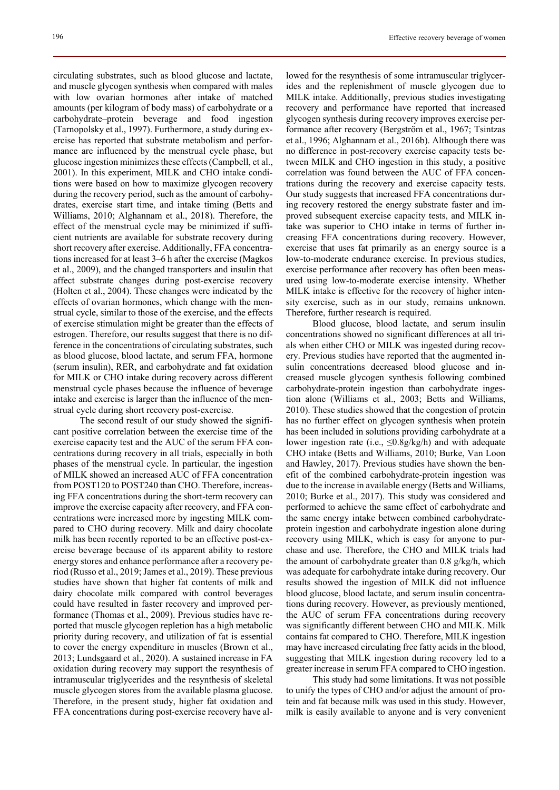circulating substrates, such as blood glucose and lactate, and muscle glycogen synthesis when compared with males with low ovarian hormones after intake of matched amounts (per kilogram of body mass) of carbohydrate or a carbohydrate–protein beverage and food ingestion (Tarnopolsky et al., 1997). Furthermore, a study during exercise has reported that substrate metabolism and performance are influenced by the menstrual cycle phase, but glucose ingestion minimizes these effects (Campbell, et al., 2001). In this experiment, MILK and CHO intake conditions were based on how to maximize glycogen recovery during the recovery period, such as the amount of carbohydrates, exercise start time, and intake timing (Betts and Williams, 2010; Alghannam et al., 2018). Therefore, the effect of the menstrual cycle may be minimized if sufficient nutrients are available for substrate recovery during short recovery after exercise. Additionally, FFA concentrations increased for at least 3–6 h after the exercise (Magkos et al., 2009), and the changed transporters and insulin that affect substrate changes during post-exercise recovery (Holten et al., 2004). These changes were indicated by the effects of ovarian hormones, which change with the menstrual cycle, similar to those of the exercise, and the effects of exercise stimulation might be greater than the effects of estrogen. Therefore, our results suggest that there is no difference in the concentrations of circulating substrates, such as blood glucose, blood lactate, and serum FFA, hormone (serum insulin), RER, and carbohydrate and fat oxidation for MILK or CHO intake during recovery across different menstrual cycle phases because the influence of beverage intake and exercise is larger than the influence of the menstrual cycle during short recovery post-exercise.

The second result of our study showed the significant positive correlation between the exercise time of the exercise capacity test and the AUC of the serum FFA concentrations during recovery in all trials, especially in both phases of the menstrual cycle. In particular, the ingestion of MILK showed an increased AUC of FFA concentration from POST120 to POST240 than CHO. Therefore, increasing FFA concentrations during the short-term recovery can improve the exercise capacity after recovery, and FFA concentrations were increased more by ingesting MILK compared to CHO during recovery. Milk and dairy chocolate milk has been recently reported to be an effective post-exercise beverage because of its apparent ability to restore energy stores and enhance performance after a recovery period (Russo et al., 2019; James et al., 2019). These previous studies have shown that higher fat contents of milk and dairy chocolate milk compared with control beverages could have resulted in faster recovery and improved performance (Thomas et al., 2009). Previous studies have reported that muscle glycogen repletion has a high metabolic priority during recovery, and utilization of fat is essential to cover the energy expenditure in muscles (Brown et al., 2013; Lundsgaard et al., 2020). A sustained increase in FA oxidation during recovery may support the resynthesis of intramuscular triglycerides and the resynthesis of skeletal muscle glycogen stores from the available plasma glucose. Therefore, in the present study, higher fat oxidation and FFA concentrations during post-exercise recovery have allowed for the resynthesis of some intramuscular triglycerides and the replenishment of muscle glycogen due to MILK intake. Additionally, previous studies investigating recovery and performance have reported that increased glycogen synthesis during recovery improves exercise performance after recovery (Bergström et al., 1967; Tsintzas et al., 1996; Alghannam et al., 2016b). Although there was no difference in post-recovery exercise capacity tests between MILK and CHO ingestion in this study, a positive correlation was found between the AUC of FFA concentrations during the recovery and exercise capacity tests. Our study suggests that increased FFA concentrations during recovery restored the energy substrate faster and improved subsequent exercise capacity tests, and MILK intake was superior to CHO intake in terms of further increasing FFA concentrations during recovery. However, exercise that uses fat primarily as an energy source is a low-to-moderate endurance exercise. In previous studies, exercise performance after recovery has often been measured using low-to-moderate exercise intensity. Whether MILK intake is effective for the recovery of higher intensity exercise, such as in our study, remains unknown. Therefore, further research is required.

Blood glucose, blood lactate, and serum insulin concentrations showed no significant differences at all trials when either CHO or MILK was ingested during recovery. Previous studies have reported that the augmented insulin concentrations decreased blood glucose and increased muscle glycogen synthesis following combined carbohydrate-protein ingestion than carbohydrate ingestion alone (Williams et al., 2003; Betts and Williams, 2010). These studies showed that the congestion of protein has no further effect on glycogen synthesis when protein has been included in solutions providing carbohydrate at a lower ingestion rate (i.e.,  $\leq 0.8g/kg/h$ ) and with adequate CHO intake (Betts and Williams, 2010; Burke, Van Loon and Hawley, 2017). Previous studies have shown the benefit of the combined carbohydrate-protein ingestion was due to the increase in available energy (Betts and Williams, 2010; Burke et al., 2017). This study was considered and performed to achieve the same effect of carbohydrate and the same energy intake between combined carbohydrateprotein ingestion and carbohydrate ingestion alone during recovery using MILK, which is easy for anyone to purchase and use. Therefore, the CHO and MILK trials had the amount of carbohydrate greater than 0.8 g/kg/h, which was adequate for carbohydrate intake during recovery. Our results showed the ingestion of MILK did not influence blood glucose, blood lactate, and serum insulin concentrations during recovery. However, as previously mentioned, the AUC of serum FFA concentrations during recovery was significantly different between CHO and MILK. Milk contains fat compared to CHO. Therefore, MILK ingestion may have increased circulating free fatty acids in the blood, suggesting that MILK ingestion during recovery led to a greater increase in serum FFA compared to CHO ingestion.

This study had some limitations. It was not possible to unify the types of CHO and/or adjust the amount of protein and fat because milk was used in this study. However, milk is easily available to anyone and is very convenient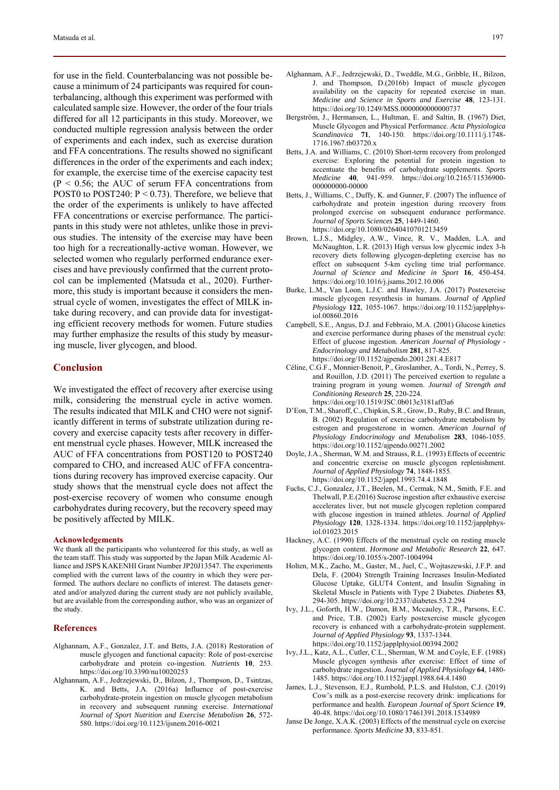for use in the field. Counterbalancing was not possible because a minimum of 24 participants was required for counterbalancing, although this experiment was performed with calculated sample size. However, the order of the four trials differed for all 12 participants in this study. Moreover, we conducted multiple regression analysis between the order of experiments and each index, such as exercise duration and FFA concentrations. The results showed no significant differences in the order of the experiments and each index; for example, the exercise time of the exercise capacity test  $(P < 0.56$ ; the AUC of serum FFA concentrations from POST0 to POST240:  $P < 0.73$ ). Therefore, we believe that the order of the experiments is unlikely to have affected FFA concentrations or exercise performance. The participants in this study were not athletes, unlike those in previous studies. The intensity of the exercise may have been too high for a recreationally-active woman. However, we selected women who regularly performed endurance exercises and have previously confirmed that the current protocol can be implemented (Matsuda et al., 2020). Furthermore, this study is important because it considers the menstrual cycle of women, investigates the effect of MILK intake during recovery, and can provide data for investigating efficient recovery methods for women. Future studies may further emphasize the results of this study by measuring muscle, liver glycogen, and blood.

# **Conclusion**

We investigated the effect of recovery after exercise using milk, considering the menstrual cycle in active women. The results indicated that MILK and CHO were not significantly different in terms of substrate utilization during recovery and exercise capacity tests after recovery in different menstrual cycle phases. However, MILK increased the AUC of FFA concentrations from POST120 to POST240 compared to CHO, and increased AUC of FFA concentrations during recovery has improved exercise capacity. Our study shows that the menstrual cycle does not affect the post-exercise recovery of women who consume enough carbohydrates during recovery, but the recovery speed may be positively affected by MILK.

## **Acknowledgements**

We thank all the participants who volunteered for this study, as well as the team staff. This study was supported by the Japan Milk Academic Alliance and JSPS KAKENHI Grant Number JP20J13547. The experiments complied with the current laws of the country in which they were performed. The authors declare no conflicts of interest. The datasets generated and/or analyzed during the current study are not publicly available, but are available from the corresponding author, who was an organizer of the study.

#### **References**

- Alghannam, A.F., Gonzalez, J.T. and Betts, J.A. (2018) Restoration of muscle glycogen and functional capacity: Role of post-exercise carbohydrate and protein co-ingestion. *Nutrients* **10**, 253. https://doi.org/10.3390/nu10020253
- Alghannam, A.F., Jedrzejewski, D., Bilzon, J., Thompson, D., Tsintzas, K. and Betts, J.A. (2016a) Influence of post-exercise carbohydrate-protein ingestion on muscle glycogen metabolism in recovery and subsequent running exercise. *International Journal of Sport Nutrition and Exercise Metabolism* **26**, 572- 580. https://doi.org/10.1123/ijsnem.2016-0021
- Alghannam, A.F., Jedrzejewski, D., Tweddle, M.G., Gribble, H., Bilzon, J. and Thompson, D.(2016b) Impact of muscle glycogen availability on the capacity for repeated exercise in man. *Medicine and Science in Sports and Exercise* **48**, 123-131. https://doi.org/10.1249/MSS.0000000000000737
- Bergström, J., Hermansen, L., Hultman, E. and Saltin, B. (1967) Diet, Muscle Glycogen and Physical Performance. *Acta Physiologica Scandinavica* **71**, 140-150. https://doi.org/10.1111/j.1748- 1716.1967.tb03720.x
- Betts, J.A. and Williams, C. (2010) Short-term recovery from prolonged exercise: Exploring the potential for protein ingestion to accentuate the benefits of carbohydrate supplements. *Sports Medicine* **40**, 941-959. https://doi.org/10.2165/11536900- 000000000-00000
- Betts, J., Williams, C., Duffy, K. and Gunner, F. (2007) The influence of carbohydrate and protein ingestion during recovery from prolonged exercise on subsequent endurance performance. *Journal of Sports Sciences* **25**, 1449-1460. https://doi.org/10.1080/02640410701213459
- Brown, L.J.S., Midgley, A.W., Vince, R. V., Madden, L.A. and McNaughton, L.R. (2013) High versus low glycemic index 3-h recovery diets following glycogen-depleting exercise has no effect on subsequent 5-km cycling time trial performance. *Journal of Science and Medicine in Sport* **16**, 450-454. https://doi.org/10.1016/j.jsams.2012.10.006
- Burke, L.M., Van Loon, L.J.C. and Hawley, J.A. (2017) Postexercise muscle glycogen resynthesis in humans. *Journal of Applied Physiology* **122**, 1055-1067. https://doi.org/10.1152/japplphysiol.00860.2016
- Campbell, S.E., Angus, D.J. and Febbraio, M.A. (2001) Glucose kinetics and exercise performance during phases of the menstrual cycle: Effect of glucose ingestion. *American Journal of Physiology - Endocrinology and Metabolism* **281**, 817-825. https://doi.org/10.1152/ajpendo.2001.281.4.E817
- Céline, C.G.F., Monnier-Benoit, P., Groslamber, A., Tordi, N., Perrey, S. and Rouillon, J.D. (2011) The perceived exertion to regulate a training program in young women. *Journal of Strength and Conditioning Research* **25**, 220-224. https://doi.org/10.1519/JSC.0b013e3181aff3a6
- D'Eon, T.M., Sharoff, C., Chipkin, S.R., Grow, D., Ruby, B.C. and Braun, B. (2002) Regulation of exercise carbohydrate metabolism by estrogen and progesterone in women. *American Journal of Physiology Endocrinology and Metabolism* **283**, 1046-1055. https://doi.org/10.1152/ajpendo.00271.2002
- Doyle, J.A., Sherman, W.M. and Strauss, R.L. (1993) Effects of eccentric and concentric exercise on muscle glycogen replenishment. *Journal of Applied Physiology* **74**, 1848-1855. https://doi.org/10.1152/jappl.1993.74.4.1848
- Fuchs, C.J., Gonzalez, J.T., Beelen, M., Cermak, N.M., Smith, F.E. and Thelwall, P.E.(2016) Sucrose ingestion after exhaustive exercise accelerates liver, but not muscle glycogen repletion compared with glucose ingestion in trained athletes. *Journal of Applied Physiology* **120**, 1328-1334. https://doi.org/10.1152/japplphysiol.01023.2015
- Hackney, A.C. (1990) Effects of the menstrual cycle on resting muscle glycogen content. *Hormone and Metabolic Research* **22**, 647. https://doi.org/10.1055/s-2007-1004994
- Holten, M.K., Zacho, M., Gaster, M., Juel, C., Wojtaszewski, J.F.P. and Dela, F. (2004) Strength Training Increases Insulin-Mediated Glucose Uptake, GLUT4 Content, and Insulin Signaling in Skeletal Muscle in Patients with Type 2 Diabetes. *Diabetes* **53**, 294-305. https://doi.org/10.2337/diabetes.53.2.294
- Ivy, J.L., Goforth, H.W., Damon, B.M., Mccauley, T.R., Parsons, E.C. and Price, T.B. (2002) Early postexercise muscle glycogen recovery is enhanced with a carbohydrate-protein supplement. *Journal of Applied Physiology* **93**, 1337-1344. https://doi.org/10.1152/japplphysiol.00394.2002
- Ivy, J.L., Katz, A.L., Cutler, C.L., Sherman, W.M. and Coyle, E.F. (1988) Muscle glycogen synthesis after exercise: Effect of time of carbohydrate ingestion. *Journal of Applied Physiology* **64**, 1480- 1485. https://doi.org/10.1152/jappl.1988.64.4.1480
- James, L.J., Stevenson, E.J., Rumbold, P.L.S. and Hulston, C.J. (2019) Cow's milk as a post-exercise recovery drink: implications for performance and health. *European Journal of Sport Science* **19**, 40-48. https://doi.org/10.1080/17461391.2018.1534989
- Janse De Jonge, X.A.K. (2003) Effects of the menstrual cycle on exercise performance. *Sports Medicine* **33**, 833-851.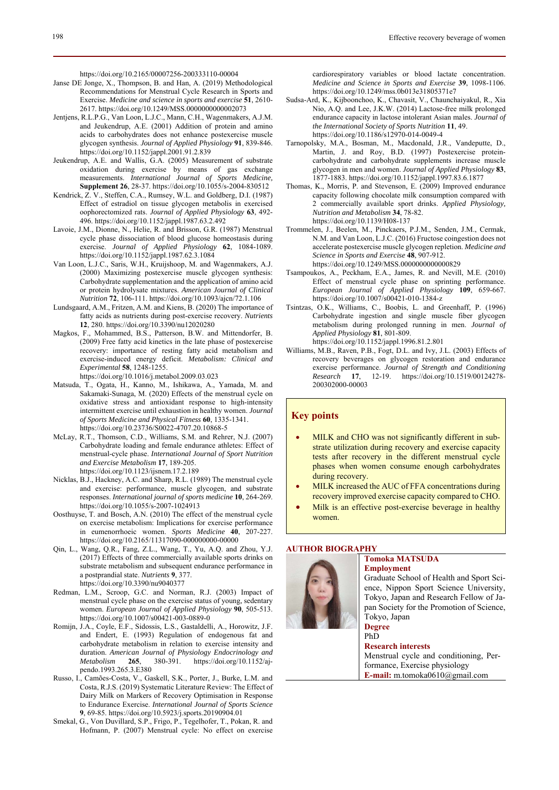https://doi.org/10.2165/00007256-200333110-00004

- Janse DE Jonge, X., Thompson, B. and Han, A. (2019) Methodological Recommendations for Menstrual Cycle Research in Sports and Exercise. *Medicine and science in sports and exercise* **51**, 2610- 2617. https://doi.org/10.1249/MSS.0000000000002073
- Jentjens, R.L.P.G., Van Loon, L.J.C., Mann, C.H., Wagenmakers, A.J.M. and Jeukendrup, A.E. (2001) Addition of protein and amino acids to carbohydrates does not enhance postexercise muscle glycogen synthesis. *Journal of Applied Physiology* **91**, 839-846. https://doi.org/10.1152/jappl.2001.91.2.839
- Jeukendrup, A.E. and Wallis, G.A. (2005) Measurement of substrate oxidation during exercise by means of gas exchange measurements. *International Journal of Sports Medicine,*  **Supplement 26**, 28-37. https://doi.org/10.1055/s-2004-830512
- Kendrick, Z. V., Steffen, C.A., Rumsey, W.L. and Goldberg, D.I. (1987) Effect of estradiol on tissue glycogen metabolis in exercised oophorectomized rats. *Journal of Applied Physiology* **63**, 492- 496. https://doi.org/10.1152/jappl.1987.63.2.492
- Lavoie, J.M., Dionne, N., Helie, R. and Brisson, G.R. (1987) Menstrual cycle phase dissociation of blood glucose homeostasis during exercise. *Journal of Applied Physiology* **62**, 1084-1089. https://doi.org/10.1152/jappl.1987.62.3.1084
- Van Loon, L.J.C., Saris, W.H., Kruijshoop, M. and Wagenmakers, A.J. (2000) Maximizing postexercise muscle glycogen synthesis: Carbohydrate supplementation and the application of amino acid or protein hydrolysate mixtures. *American Journal of Clinical Nutrition* **72**, 106-111. https://doi.org/10.1093/ajcn/72.1.106
- Lundsgaard, A.M., Fritzen, A.M. and Kiens, B. (2020) The importance of fatty acids as nutrients during post-exercise recovery. *Nutrients* **12**, 280. https://doi.org/10.3390/nu12020280
- Magkos, F., Mohammed, B.S., Patterson, B.W. and Mittendorfer, B. (2009) Free fatty acid kinetics in the late phase of postexercise recovery: importance of resting fatty acid metabolism and exercise-induced energy deficit. *Metabolism: Clinical and Experimental* **58**, 1248-1255.
	- https://doi.org/10.1016/j.metabol.2009.03.023
- Matsuda, T., Ogata, H., Kanno, M., Ishikawa, A., Yamada, M. and Sakamaki-Sunaga, M. (2020) Effects of the menstrual cycle on oxidative stress and antioxidant response to high-intensity intermittent exercise until exhaustion in healthy women. *Journal of Sports Medicine and Physical Fitness* **60**, 1335-1341. https://doi.org/10.23736/S0022-4707.20.10868-5
- McLay, R.T., Thomson, C.D., Williams, S.M. and Rehrer, N.J. (2007) Carbohydrate loading and female endurance athletes: Effect of menstrual-cycle phase. *International Journal of Sport Nutrition and Exercise Metabolism* **17**, 189-205. https://doi.org/10.1123/ijsnem.17.2.189
- Nicklas, B.J., Hackney, A.C. and Sharp, R.L. (1989) The menstrual cycle and exercise: performance, muscle glycogen, and substrate responses. *International journal of sports medicine* **10**, 264-269. https://doi.org/10.1055/s-2007-1024913
- Oosthuyse, T. and Bosch, A.N. (2010) The effect of the menstrual cycle on exercise metabolism: Implications for exercise performance in eumenorrhoeic women. *Sports Medicine* **40**, 207-227. https://doi.org/10.2165/11317090-000000000-00000
- Qin, L., Wang, Q.R., Fang, Z.L., Wang, T., Yu, A.Q. and Zhou, Y.J. (2017) Effects of three commercially available sports drinks on substrate metabolism and subsequent endurance performance in a postprandial state. *Nutrients* **9**, 377. https://doi.org/10.3390/nu9040377
- Redman, L.M., Scroop, G.C. and Norman, R.J. (2003) Impact of menstrual cycle phase on the exercise status of young, sedentary women. *European Journal of Applied Physiology* **90**, 505-513. https://doi.org/10.1007/s00421-003-0889-0
- Romijn, J.A., Coyle, E.F., Sidossis, L.S., Gastaldelli, A., Horowitz, J.F. and Endert, E. (1993) Regulation of endogenous fat and carbohydrate metabolism in relation to exercise intensity and duration. *American Journal of Physiology Endocrinology and Metabolism* 265, 380-391. https://doi.org/10.1152/ajhttps://doi.org/10.1152/ajpendo.1993.265.3.E380
- Russo, I., Camões-Costa, V., Gaskell, S.K., Porter, J., Burke, L.M. and Costa, R.J.S. (2019) Systematic Literature Review: The Effect of Dairy Milk on Markers of Recovery Optimisation in Response to Endurance Exercise. *International Journal of Sports Science* **9**, 69-85. https://doi.org/10.5923/j.sports.20190904.01
- Smekal, G., Von Duvillard, S.P., Frigo, P., Tegelhofer, T., Pokan, R. and Hofmann, P. (2007) Menstrual cycle: No effect on exercise

cardiorespiratory variables or blood lactate concentration. *Medicine and Science in Sports and Exercise* **39**, 1098-1106. https://doi.org/10.1249/mss.0b013e31805371e7

- Sudsa-Ard, K., Kijboonchoo, K., Chavasit, V., Chaunchaiyakul, R., Xia Nio, A.Q. and Lee, J.K.W. (2014) Lactose-free milk prolonged endurance capacity in lactose intolerant Asian males. *Journal of the International Society of Sports Nutrition* **11**, 49. https://doi.org/10.1186/s12970-014-0049-4
- Tarnopolsky, M.A., Bosman, M., Macdonald, J.R., Vandeputte, D., Martin, J. and Roy, B.D. (1997) Postexercise proteincarbohydrate and carbohydrate supplements increase muscle glycogen in men and women. *Journal of Applied Physiology* **83**, 1877-1883. https://doi.org/10.1152/jappl.1997.83.6.1877
- Thomas, K., Morris, P. and Stevenson, E. (2009) Improved endurance capacity following chocolate milk consumption compared with 2 commercially available sport drinks. *Applied Physiology, Nutrition and Metabolism* **34**, 78-82. https://doi.org/10.1139/H08-137
- Trommelen, J., Beelen, M., Pinckaers, P.J.M., Senden, J.M., Cermak, N.M. and Van Loon, L.J.C. (2016) Fructose coingestion does not accelerate postexercise muscle glycogen repletion. *Medicine and Science in Sports and Exercise* **48**, 907-912. https://doi.org/10.1249/MSS.0000000000000829
- Tsampoukos, A., Peckham, E.A., James, R. and Nevill, M.E. (2010) Effect of menstrual cycle phase on sprinting performance. *European Journal of Applied Physiology* **109**, 659-667. https://doi.org/10.1007/s00421-010-1384-z
- Tsintzas, O.K., Williams, C., Boobis, L. and Greenhaff, P. (1996) Carbohydrate ingestion and single muscle fiber glycogen metabolism during prolonged running in men. *Journal of Applied Physiology* **81**, 801-809. https://doi.org/10.1152/jappl.1996.81.2.801
- Williams, M.B., Raven, P.B., Fogt, D.L. and Ivy, J.L. (2003) Effects of recovery beverages on glycogen restoration and endurance exercise performance. *Journal of Strength and Conditioning Research* **17**, 12-19. https://doi.org/10.1519/00124278- 200302000-00003

# **Key points**

- MILK and CHO was not significantly different in substrate utilization during recovery and exercise capacity tests after recovery in the different menstrual cycle phases when women consume enough carbohydrates during recovery.
- MILK increased the AUC of FFA concentrations during recovery improved exercise capacity compared to CHO.
- Milk is an effective post-exercise beverage in healthy women.

# **AUTHOR BIOGRAPHY**



# **Tomoka MATSUDA Employment**

Graduate School of Health and Sport Science, Nippon Sport Science University, Tokyo, Japan and Research Fellow of Japan Society for the Promotion of Science, Tokyo, Japan

#### **Degree**  PhD

**Research interests**  Menstrual cycle and conditioning, Performance, Exercise physiology **E-mail:** m.tomoka0610@gmail.com